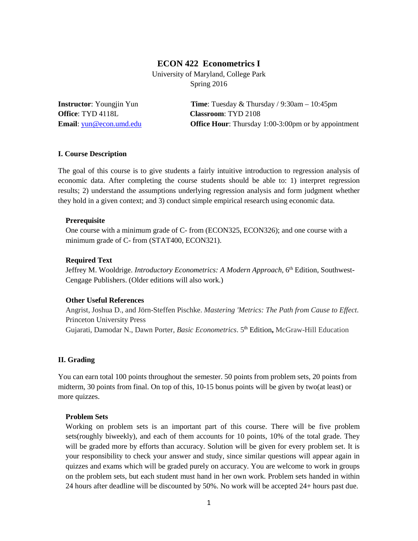# **ECON 422 Econometrics I**

University of Maryland, College Park Spring 2016

**Office**: TYD 4118L **Classroom**: TYD 2108

**Instructor**: Youngjin Yun **Time**: Tuesday & Thursday / 9:30am – 10:45pm **Email**: [yun@econ.umd.edu](mailto:yun@econ.umd.edu) **Office Hour**: Thursday 1:00-3:00pm or by appointment

# **I. Course Description**

The goal of this course is to give students a fairly intuitive introduction to regression analysis of economic data. After completing the course students should be able to: 1) interpret regression results; 2) understand the assumptions underlying regression analysis and form judgment whether they hold in a given context; and 3) conduct simple empirical research using economic data.

#### **Prerequisite**

One course with a minimum grade of C- from (ECON325, ECON326); and one course with a minimum grade of C- from (STAT400, ECON321).

## **Required Text**

Jeffrey M. Wooldrige. *Introductory Econometrics: A Modern Approach*, 6<sup>th</sup> Edition, Southwest-Cengage Publishers. (Older editions will also work.)

# **Other Useful References**

Angrist, Joshua D., and Jörn-Steffen Pischke. *Mastering 'Metrics: The Path from Cause to Effect*. Princeton University Press Gujarati, Damodar N., Dawn Porter, *Basic Econometrics*. 5th Edition**,** McGraw-Hill Education

# **II. Grading**

You can earn total 100 points throughout the semester. 50 points from problem sets, 20 points from midterm, 30 points from final. On top of this, 10-15 bonus points will be given by two(at least) or more quizzes.

#### **Problem Sets**

Working on problem sets is an important part of this course. There will be five problem sets(roughly biweekly), and each of them accounts for 10 points, 10% of the total grade. They will be graded more by efforts than accuracy. Solution will be given for every problem set. It is your responsibility to check your answer and study, since similar questions will appear again in quizzes and exams which will be graded purely on accuracy. You are welcome to work in groups on the problem sets, but each student must hand in her own work. Problem sets handed in within 24 hours after deadline will be discounted by 50%. No work will be accepted 24+ hours past due.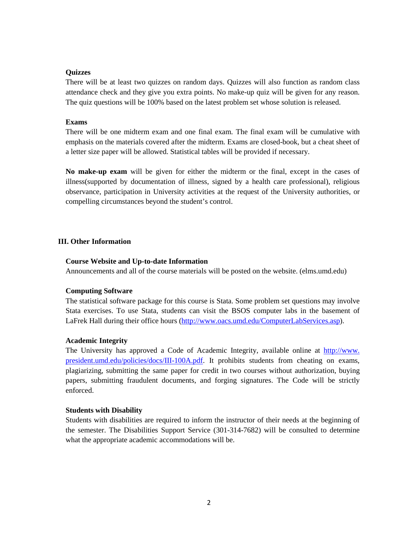#### **Quizzes**

There will be at least two quizzes on random days. Quizzes will also function as random class attendance check and they give you extra points. No make-up quiz will be given for any reason. The quiz questions will be 100% based on the latest problem set whose solution is released.

## **Exams**

There will be one midterm exam and one final exam. The final exam will be cumulative with emphasis on the materials covered after the midterm. Exams are closed-book, but a cheat sheet of a letter size paper will be allowed. Statistical tables will be provided if necessary.

**No make-up exam** will be given for either the midterm or the final, except in the cases of illness(supported by documentation of illness, signed by a health care professional), religious observance, participation in University activities at the request of the University authorities, or compelling circumstances beyond the student's control.

## **III. Other Information**

## **Course Website and Up-to-date Information**

Announcements and all of the course materials will be posted on the website. (elms.umd.edu)

# **Computing Software**

The statistical software package for this course is Stata. Some problem set questions may involve Stata exercises. To use Stata, students can visit the BSOS computer labs in the basement of LaFrek Hall during their office hours [\(http://www.oacs.umd.edu/ComputerLabServices.asp\)](http://www.oacs.umd.edu/ComputerLabServices.asp).

# **Academic Integrity**

The University has approved a Code of Academic Integrity, available online at http://www. president.umd.edu/policies/docs/III-100A.pdf. It prohibits students from cheating on exams, plagiarizing, submitting the same paper for credit in two courses without authorization, buying papers, submitting fraudulent documents, and forging signatures. The Code will be strictly enforced.

#### **Students with Disability**

Students with disabilities are required to inform the instructor of their needs at the beginning of the semester. The Disabilities Support Service (301-314-7682) will be consulted to determine what the appropriate academic accommodations will be.